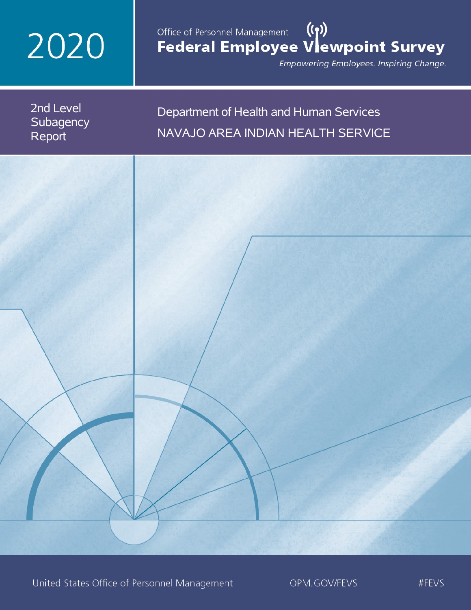# 2020

# Office of Personnel Management (())<br>Federal Employee Vlewpoint Survey

Empowering Employees. Inspiring Change.

2nd Level **Subagency** Report

Department of Health and Human Services NAVAJO AREA INDIAN HEALTH SERVICE

United States Office of Personnel Management

OPM.GOV/FEVS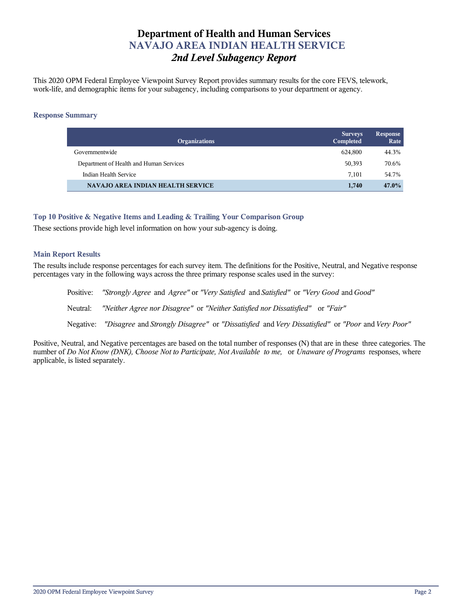# **Department of Health and Human Services NAVAJO AREA INDIAN HEALTH SERVICE** *2nd Level Subagency Report*

This 2020 OPM Federal Employee Viewpoint Survey Report provides summary results for the core FEVS, telework, work-life, and demographic items for your subagency, including comparisons to your department or agency.

## **Response Summary**

| <b>Organizations</b>                     | <b>Surveys</b><br>Completed | <b>Response</b><br>Rate |
|------------------------------------------|-----------------------------|-------------------------|
| Governmentwide                           | 624.800                     | 44.3%                   |
| Department of Health and Human Services  | 50,393                      | 70.6%                   |
| Indian Health Service                    | 7,101                       | 54.7%                   |
| <b>NAVAJO AREA INDIAN HEALTH SERVICE</b> | 1,740                       | $47.0\%$                |

## **Top 10 Positive & Negative Items and Leading & Trailing Your Comparison Group**

These sections provide high level information on how your sub-agency is doing.

## **Main Report Results**

The results include response percentages for each survey item. The definitions for the Positive, Neutral, and Negative response percentages vary in the following ways across the three primary response scales used in the survey:

Positive: *"Strongly Agree* and *Agree"* or *"Very Satisfied* and *Satisfied"* or *"Very Good* and *Good"* Neutral: *"Neither Agree nor Disagree"* or *"Neither Satisfied nor Dissatisfied"* or *"Fair"* Negative: *"Disagree* and *Strongly Disagree"* or *"Dissatisfied* and *Very Dissatisfied"* or *"Poor* and *Very Poor"*

Positive, Neutral, and Negative percentages are based on the total number of responses (N) that are in these three categories. The number of *Do Not Know (DNK), Choose Not to Participate, Not Available to me,* or *Unaware of Programs* responses, where applicable, is listed separately.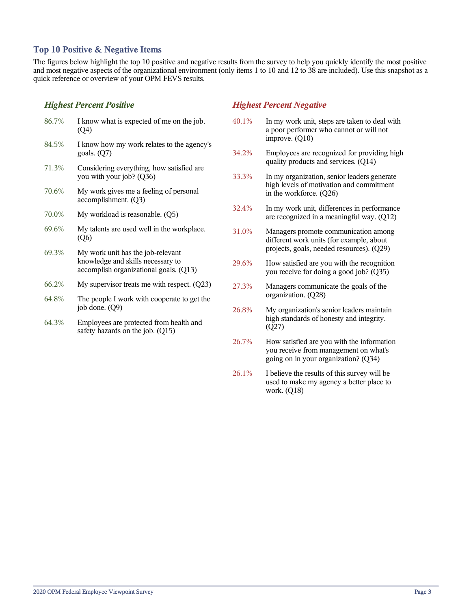## **Top 10 Positive & Negative Items**

The figures below highlight the top 10 positive and negative results from the survey to help you quickly identify the most positive and most negative aspects of the organizational environment (only items 1 to 10 and 12 to 38 are included). Use this snapshot as a quick reference or overview of your OPM FEVS results.

## *Highest Percent Positive*

| 86.7% | I know what is expected of me on the job.<br>(Q4)                                                                |
|-------|------------------------------------------------------------------------------------------------------------------|
| 84.5% | I know how my work relates to the agency's<br>goals. $(Q7)$                                                      |
| 71.3% | Considering everything, how satisfied are.<br>you with your job? (Q36)                                           |
| 70.6% | My work gives me a feeling of personal<br>accomplishment. (Q3)                                                   |
| 70.0% | My workload is reasonable. (Q5)                                                                                  |
| 69.6% | My talents are used well in the workplace.<br>(Q6)                                                               |
| 69.3% | My work unit has the job-relevant<br>knowledge and skills necessary to<br>accomplish organizational goals. (Q13) |
| 66.2% | My supervisor treats me with respect. $(Q23)$                                                                    |

- 64.8% The people I work with cooperate to get the job done. (Q9)
- 64.3% Employees are protected from health and safety hazards on the job. (Q15)

## *Highest Percent Negative*

- 40.1% In my work unit, steps are taken to deal with a poor performer who cannot or will not improve. (Q10)
- 34.2% Employees are recognized for providing high quality products and services. (Q14)
- 33.3% In my organization, senior leaders generate high levels of motivation and commitment in the workforce. (Q26)
- 32.4% In my work unit, differences in performance are recognized in a meaningful way. (Q12)
- 31.0% Managers promote communication among different work units (for example, about projects, goals, needed resources). (Q29)
- 29.6% How satisfied are you with the recognition you receive for doing a good job? (Q35)
- 27.3% Managers communicate the goals of the organization. (Q28)
- 26.8% My organization's senior leaders maintain high standards of honesty and integrity. (Q27)
- 26.7% How satisfied are you with the information you receive from management on what's going on in your organization? (Q34)
- 26.1% I believe the results of this survey will be used to make my agency a better place to work. (Q18)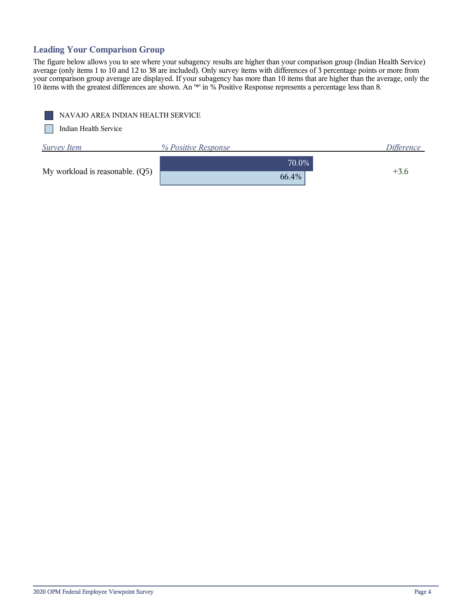# **Leading Your Comparison Group**

The figure below allows you to see where your subagency results are higher than your comparison group (Indian Health Service) average (only items 1 to 10 and 12 to 38 are included). Only survey items with differences of 3 percentage points or more from your comparison group average are displayed. If your subagency has more than 10 items that are higher than the average, only the 10 items with the greatest differences are shown. An '\*' in % Positive Response represents a percentage less than 8.

|  | NAVAJO AREA INDIAN HEALTH SERVICE |
|--|-----------------------------------|
|--|-----------------------------------|

Indian Health Service

| <b>Survey Item</b>              | % Positive Response | <i>Difference</i> |
|---------------------------------|---------------------|-------------------|
|                                 | 70.0%               | $+3.6$            |
| My workload is reasonable. (Q5) | 66.4%               |                   |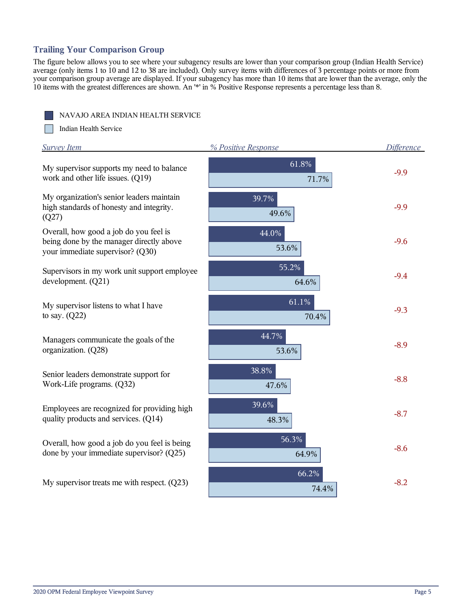## **Trailing Your Comparison Group**

The figure below allows you to see where your subagency results are lower than your comparison group (Indian Health Service) average (only items 1 to 10 and 12 to 38 are included). Only survey items with differences of 3 percentage points or more from your comparison group average are displayed. If your subagency has more than 10 items that are lower than the average, only the 10 items with the greatest differences are shown. An '\*' in % Positive Response represents a percentage less than 8.

NAVAJO AREA INDIAN HEALTH SERVICE

**The State** Indian Health Service

| <b>Survey Item</b>                                                                                                     | % Positive Response | <b>Difference</b> |
|------------------------------------------------------------------------------------------------------------------------|---------------------|-------------------|
| My supervisor supports my need to balance<br>work and other life issues. (Q19)                                         | 61.8%<br>71.7%      | $-9.9$            |
| My organization's senior leaders maintain<br>high standards of honesty and integrity.<br>(Q27)                         | 39.7%<br>49.6%      | $-9.9$            |
| Overall, how good a job do you feel is<br>being done by the manager directly above<br>your immediate supervisor? (Q30) | 44.0%<br>53.6%      | $-9.6$            |
| Supervisors in my work unit support employee<br>development. (Q21)                                                     | 55.2%<br>64.6%      | $-9.4$            |
| My supervisor listens to what I have<br>to say. $(Q22)$                                                                | 61.1%<br>70.4%      | $-9.3$            |
| Managers communicate the goals of the<br>organization. (Q28)                                                           | 44.7%<br>53.6%      | $-8.9$            |
| Senior leaders demonstrate support for<br>Work-Life programs. (Q32)                                                    | 38.8%<br>47.6%      | $-8.8$            |
| Employees are recognized for providing high<br>quality products and services. (Q14)                                    | 39.6%<br>48.3%      | $-8.7$            |
| Overall, how good a job do you feel is being<br>done by your immediate supervisor? (Q25)                               | 56.3%<br>64.9%      | $-8.6$            |
| My supervisor treats me with respect. $(Q23)$                                                                          | 66.2%<br>74.4%      | $-8.2$            |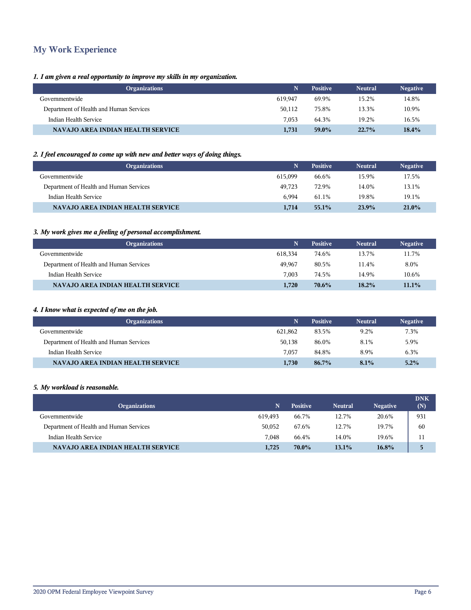# **My Work Experience**

## *1. I am given a real opportunity to improve my skills in my organization.*

| <b>Positive</b> | <b>Negative</b>                                    |
|-----------------|----------------------------------------------------|
| 69.9%           | 14.8%                                              |
| 75.8%           | 10.9%                                              |
| 64.3%           | 16.5%                                              |
| 59.0%           | 18.4%                                              |
|                 | <b>Neutral</b><br>15.2%<br>13.3%<br>19.2%<br>22.7% |

## *2. I feel encouraged to come up with new and better ways of doing things.*

| <b>Organizations</b>                    |         | <b>Positive</b> | <b>Neutral</b> | <b>Negative</b> |
|-----------------------------------------|---------|-----------------|----------------|-----------------|
| Governmentwide                          | 615.099 | 66.6%           | 15.9%          | 17.5%           |
| Department of Health and Human Services | 49.723  | 72.9%           | 14.0%          | 13.1%           |
| Indian Health Service                   | 6.994   | 61.1%           | 19.8%          | 19.1%           |
| NAVAJO AREA INDIAN HEALTH SERVICE       | 1,714   | $55.1\%$        | 23.9%          | $21.0\%$        |

## *3. My work gives me a feeling of personal accomplishment.*

| <b>Organizations</b>                     |         | <b>Positive</b> | <b>Neutral</b> | <b>Negative</b> |
|------------------------------------------|---------|-----------------|----------------|-----------------|
| Governmentwide                           | 618.334 | 74.6%           | 13.7%          | 11.7%           |
| Department of Health and Human Services  | 49,967  | 80.5%           | 11.4%          | 8.0%            |
| Indian Health Service                    | 7.003   | 74.5%           | 14.9%          | 10.6%           |
| <b>NAVAJO AREA INDIAN HEALTH SERVICE</b> | 1,720   | 70.6%           | 18.2%          | $11.1\%$        |

## *4. I know what is expected of me on the job.*

| <b>Organizations</b>                     |         | <b>Positive</b> | <b>Neutral</b> | <b>Negative</b> |
|------------------------------------------|---------|-----------------|----------------|-----------------|
| Governmentwide                           | 621.862 | 83.5%           | 9.2%           | 7.3%            |
| Department of Health and Human Services  | 50,138  | 86.0%           | 8.1%           | 5.9%            |
| Indian Health Service                    | 7.057   | 84.8%           | 8.9%           | 6.3%            |
| <b>NAVAJO AREA INDIAN HEALTH SERVICE</b> | 1,730   | 86.7%           | 8.1%           | 5.2%            |

#### *5. My workload is reasonable.*

| <b>Organizations</b>                     |         | <b>Positive</b> | <b>Neutral</b> | <b>Negative</b> | <b>DNK</b><br>(N) |
|------------------------------------------|---------|-----------------|----------------|-----------------|-------------------|
| Governmentwide                           | 619.493 | 66.7%           | 12.7%          | 20.6%           | 931               |
| Department of Health and Human Services  | 50.052  | 67.6%           | 12.7%          | 19.7%           | 60                |
| Indian Health Service                    | 7.048   | 66.4%           | 14.0%          | 19.6%           | 11                |
| <b>NAVAJO AREA INDIAN HEALTH SERVICE</b> | 1.725   | 70.0%           | 13.1%          | 16.8%           | 局                 |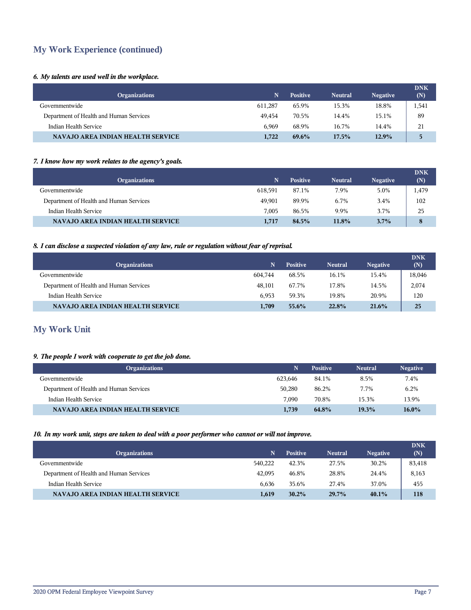# **My Work Experience (continued)**

## *6. My talents are used well in the workplace.*

| <b>Organizations</b>                     |         | <b>Positive</b> | <b>Neutral</b> | <b>Negative</b> | <b>DNK</b><br>(N) |
|------------------------------------------|---------|-----------------|----------------|-----------------|-------------------|
| Governmentwide                           | 611,287 | 65.9%           | 15.3%          | 18.8%           | 1,541             |
| Department of Health and Human Services  | 49.454  | 70.5%           | 14.4%          | 15.1%           | 89                |
| Indian Health Service                    | 6.969   | 68.9%           | 16.7%          | 14.4%           | 21                |
| <b>NAVAJO AREA INDIAN HEALTH SERVICE</b> | 1.722   | $69.6\%$        | $17.5\%$       | 12.9%           |                   |

## *7. I know how my work relates to the agency's goals.*

| <b>Organizations</b>                     | N.      | <b>Positive</b> | <b>Neutral</b> | <b>Negative</b> | <b>DNK</b><br>(N) |
|------------------------------------------|---------|-----------------|----------------|-----------------|-------------------|
| Governmentwide                           | 618.591 | 87.1%           | 7.9%           | 5.0%            | 1,479             |
| Department of Health and Human Services  | 49.901  | 89.9%           | 6.7%           | 3.4%            | 102               |
| Indian Health Service                    | 7.005   | 86.5%           | 9.9%           | 3.7%            | 25                |
| <b>NAVAJO AREA INDIAN HEALTH SERVICE</b> | 1,717   | 84.5%           | 11.8%          | $3.7\%$         | 8                 |

#### *8. I can disclose a suspected violation of any law, rule or regulation without fear of reprisal.*

| <b>Organizations</b>                     | N       | <b>Positive</b> | <b>Neutral</b> | <b>Negative</b> | <b>DNK</b><br>(N) |
|------------------------------------------|---------|-----------------|----------------|-----------------|-------------------|
| Governmentwide                           | 604.744 | 68.5%           | 16.1%          | 15.4%           | 18,046            |
| Department of Health and Human Services  | 48.101  | 67.7%           | 17.8%          | 14.5%           | 2,074             |
| Indian Health Service                    | 6.953   | 59.3%           | 19.8%          | 20.9%           | 120               |
| <b>NAVAJO AREA INDIAN HEALTH SERVICE</b> | 1.709   | $55.6\%$        | 22.8%          | 21.6%           | 25                |

# **My Work Unit**

## *9. The people I work with cooperate to get the job done.*

| <b>Organizations</b>                     |         | <b>Positive</b> | <b>Neutral</b> | <b>Negative</b> |
|------------------------------------------|---------|-----------------|----------------|-----------------|
| Governmentwide                           | 623.646 | 84.1%           | 8.5%           | 7.4%            |
| Department of Health and Human Services  | 50.280  | 86.2%           | 7.7%           | 6.2%            |
| Indian Health Service                    | 7.090   | 70.8%           | 15.3%          | 13.9%           |
| <b>NAVAJO AREA INDIAN HEALTH SERVICE</b> | 1,739   | 64.8%           | 19.3%          | $16.0\%$        |

#### *10. In my work unit, steps are taken to deal with a poor performer who cannot or will not improve.*

| <b>Organizations</b>                     | N.      | <b>Positive</b> | <b>Neutral</b> | <b>Negative</b> | <b>DNK</b><br>(N) |
|------------------------------------------|---------|-----------------|----------------|-----------------|-------------------|
| Governmentwide                           | 540.222 | 42.3%           | 27.5%          | 30.2%           | 83,418            |
| Department of Health and Human Services  | 42,095  | 46.8%           | 28.8%          | 24.4%           | 8,163             |
| Indian Health Service                    | 6.636   | 35.6%           | 27.4%          | 37.0%           | 455               |
| <b>NAVAJO AREA INDIAN HEALTH SERVICE</b> | 1,619   | $30.2\%$        | 29.7%          | $40.1\%$        | 118               |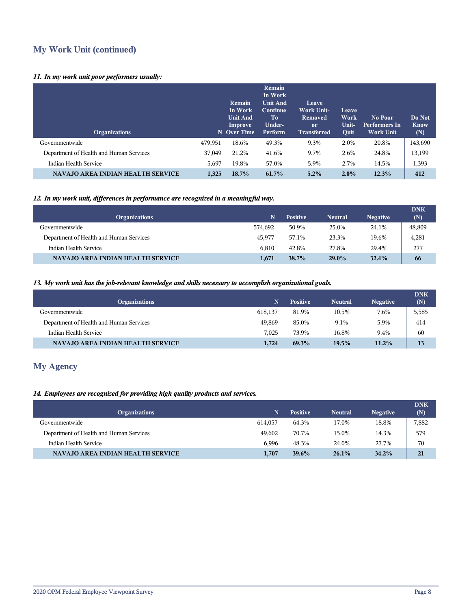# **My Work Unit (continued)**

## *11. In my work unit poor performers usually:*

| <b>Organizations</b>                     |         | Remain<br>In Work<br><b>Unit And</b><br>Improve<br>N Over Time | Remain<br>In Work<br><b>Unit And</b><br><b>Continue</b><br>To<br>Under-<br>Perform | Leave<br><b>Work Unit-</b><br><b>Removed</b><br><sub>or</sub><br><b>Transferred</b> | Leave<br>Work<br>Unit-<br>Quit | No Poor<br>Performers In<br><b>Work Unit</b> | Do Not<br><b>Know</b><br>(N) |
|------------------------------------------|---------|----------------------------------------------------------------|------------------------------------------------------------------------------------|-------------------------------------------------------------------------------------|--------------------------------|----------------------------------------------|------------------------------|
| Governmentwide                           | 479,951 | 18.6%                                                          | 49.3%                                                                              | 9.3%                                                                                | 2.0%                           | 20.8%                                        | 143,690                      |
| Department of Health and Human Services  | 37,049  | 21.2%                                                          | 41.6%                                                                              | 9.7%                                                                                | 2.6%                           | 24.8%                                        | 13,199                       |
| Indian Health Service                    | 5.697   | 19.8%                                                          | 57.0%                                                                              | 5.9%                                                                                | 2.7%                           | 14.5%                                        | 1,393                        |
| <b>NAVAJO AREA INDIAN HEALTH SERVICE</b> | 1,325   | 18.7%                                                          | 61.7%                                                                              | 5.2%                                                                                | 2.0%                           | 12.3%                                        | 412                          |

## *12. In my work unit, differences in performance are recognized in a meaningful way.*

| <b>Organizations</b>                     | 'N.     | <b>Positive</b> | <b>Neutral</b> | <b>Negative</b> | <b>DNK</b><br>(N) |
|------------------------------------------|---------|-----------------|----------------|-----------------|-------------------|
| Governmentwide                           | 574.692 | 50.9%           | 25.0%          | 24.1%           | 48,809            |
| Department of Health and Human Services  | 45.977  | 57.1%           | 23.3%          | 19.6%           | 4,281             |
| Indian Health Service                    | 6.810   | 42.8%           | 27.8%          | 29.4%           | 277               |
| <b>NAVAJO AREA INDIAN HEALTH SERVICE</b> | 1,671   | 38.7%           | $29.0\%$       | 32.4%           | 66                |

## *13. My work unit has the job-relevant knowledge and skills necessary to accomplish organizational goals.*

| <b>Organizations</b>                     |         | <b>Positive</b> | <b>Neutral</b> | <b>Negative</b> | <b>DNK</b><br>(N) |
|------------------------------------------|---------|-----------------|----------------|-----------------|-------------------|
| Governmentwide                           | 618.137 | 81.9%           | 10.5%          | 7.6%            | 5,585             |
| Department of Health and Human Services  | 49.869  | 85.0%           | 9.1%           | 5.9%            | 414               |
| Indian Health Service                    | 7.025   | 73.9%           | 16.8%          | 9.4%            | 60                |
| <b>NAVAJO AREA INDIAN HEALTH SERVICE</b> | 1.724   | 69.3%           | 19.5%          | 11.2%           | 13                |

# **My Agency**

## *14. Employees are recognized for providing high quality products and services.*

| <b>Organizations</b>                     |         | <b>Positive</b> | <b>Neutral</b> | <b>Negative</b> | <b>DNK</b><br>(N) |
|------------------------------------------|---------|-----------------|----------------|-----------------|-------------------|
| Governmentwide                           | 614.057 | 64.3%           | 17.0%          | 18.8%           | 7,882             |
| Department of Health and Human Services  | 49.602  | 70.7%           | 15.0%          | 14.3%           | 579               |
| Indian Health Service                    | 6.996   | 48.3%           | 24.0%          | 27.7%           | 70                |
| <b>NAVAJO AREA INDIAN HEALTH SERVICE</b> | 1.707   | $39.6\%$        | 26.1%          | 34.2%           | 21                |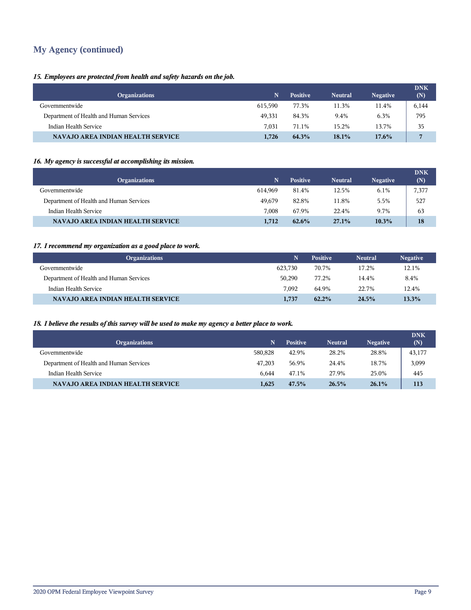# **My Agency (continued)**

## *15. Employees are protected from health and safety hazards on the job.*

| <b>Organizations</b>                     |         | <b>Positive</b> | <b>Neutral</b> | <b>Negative</b> | <b>DNK</b><br>(N) |
|------------------------------------------|---------|-----------------|----------------|-----------------|-------------------|
| Governmentwide                           | 615.590 | 77.3%           | 11.3%          | 11.4%           | 6,144             |
| Department of Health and Human Services  | 49.331  | 84.3%           | 9.4%           | 6.3%            | 795               |
| Indian Health Service                    | 7.031   | 71.1%           | 15.2%          | 13.7%           | 35                |
| <b>NAVAJO AREA INDIAN HEALTH SERVICE</b> | 1.726   | 64.3%           | 18.1%          | $17.6\%$        |                   |

## *16. My agency is successful at accomplishing its mission.*

| <b>Organizations</b>                     | N       | <b>Positive</b> | <b>Neutral</b> | <b>Negative</b> | <b>DNK</b><br>(N) |
|------------------------------------------|---------|-----------------|----------------|-----------------|-------------------|
| Governmentwide                           | 614.969 | 81.4%           | 12.5%          | 6.1%            | 7,377             |
| Department of Health and Human Services  | 49.679  | 82.8%           | 11.8%          | 5.5%            | 527               |
| Indian Health Service                    | 7.008   | 67.9%           | 22.4%          | 9.7%            | 63                |
| <b>NAVAJO AREA INDIAN HEALTH SERVICE</b> | 1,712   | $62.6\%$        | 27.1%          | 10.3%           | 18                |

## *17. I recommend my organization as a good place to work.*

| <b>Organizations</b>                    |         | <b>Positive</b> | <b>Neutral</b> | <b>Negative</b> |
|-----------------------------------------|---------|-----------------|----------------|-----------------|
| Governmentwide                          | 623.730 | 70.7%           | 17.2%          | 12.1%           |
| Department of Health and Human Services | 50.290  | 77.2%           | 14.4%          | 8.4%            |
| Indian Health Service                   | 7.092   | 64.9%           | 22.7%          | 12.4%           |
| NAVAJO AREA INDIAN HEALTH SERVICE       | 1,737   | $62.2\%$        | 24.5%          | 13.3%           |

## *18. I believe the results of this survey will be used to make my agency a better place to work.*

| <b>Organizations</b>                     | N       | <b>Positive</b> | <b>Neutral</b> | <b>Negative</b> | <b>DNK</b><br>(N) |
|------------------------------------------|---------|-----------------|----------------|-----------------|-------------------|
| Governmentwide                           | 580.828 | 42.9%           | 28.2%          | 28.8%           | 43,177            |
| Department of Health and Human Services  | 47.203  | 56.9%           | 24.4%          | 18.7%           | 3,099             |
| Indian Health Service                    | 6.644   | 47.1%           | 27.9%          | 25.0%           | 445               |
| <b>NAVAJO AREA INDIAN HEALTH SERVICE</b> | 1.625   | 47.5%           | 26.5%          | 26.1%           | 113               |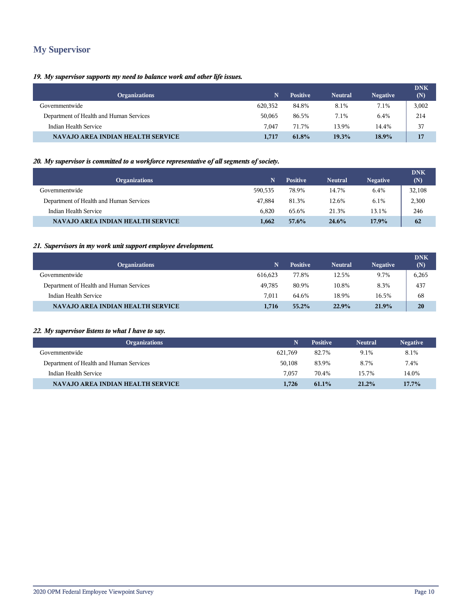# **My Supervisor**

## *19. My supervisor supports my need to balance work and other life issues.*

| <b>Organizations</b>                     | N       | <b>Positive</b> | <b>Neutral</b> | <b>Negative</b> | <b>DNK</b><br>(N) |
|------------------------------------------|---------|-----------------|----------------|-----------------|-------------------|
| Governmentwide                           | 620,352 | 84.8%           | 8.1%           | 7.1%            | 3,002             |
| Department of Health and Human Services  | 50,065  | 86.5%           | 7.1%           | 6.4%            | 214               |
| Indian Health Service                    | 7.047   | 71.7%           | 13.9%          | 14.4%           | 37                |
| <b>NAVAJO AREA INDIAN HEALTH SERVICE</b> | 1,717   | 61.8%           | 19.3%          | 18.9%           | 17                |

## *20. My supervisor is committed to a workforce representative of all segments of society.*

| <b>Organizations</b>                     | N       | <b>Positive</b> | <b>Neutral</b> | <b>Negative</b> | <b>DNK</b><br>(N) |
|------------------------------------------|---------|-----------------|----------------|-----------------|-------------------|
| Governmentwide                           | 590.535 | 78.9%           | 14.7%          | 6.4%            | 32,108            |
| Department of Health and Human Services  | 47.884  | 81.3%           | 12.6%          | 6.1%            | 2,300             |
| Indian Health Service                    | 6.820   | 65.6%           | 21.3%          | 13.1%           | 246               |
| <b>NAVAJO AREA INDIAN HEALTH SERVICE</b> | 1.662   | 57.6%           | 24.6%          | 17.9%           | 62                |

## *21. Supervisors in my work unit support employee development.*

| <b>Organizations</b>                     |         | <b>Positive</b> | <b>Neutral</b> | <b>Negative</b> | <b>DNK</b><br>(N) |
|------------------------------------------|---------|-----------------|----------------|-----------------|-------------------|
| Governmentwide                           | 616.623 | 77.8%           | 12.5%          | 9.7%            | 6,265             |
| Department of Health and Human Services  | 49.785  | 80.9%           | 10.8%          | 8.3%            | 437               |
| Indian Health Service                    | 7.011   | 64.6%           | 18.9%          | 16.5%           | 68                |
| <b>NAVAJO AREA INDIAN HEALTH SERVICE</b> | 1.716   | $55.2\%$        | 22.9%          | 21.9%           | 20                |

## *22. My supervisor listens to what I have to say.*

| <b>Organizations</b>                    |         | <b>Positive</b> | <b>Neutral</b> | <b>Negative</b> |
|-----------------------------------------|---------|-----------------|----------------|-----------------|
| Governmentwide                          | 621.769 | 82.7%           | 9.1%           | 8.1%            |
| Department of Health and Human Services | 50,108  | 83.9%           | 8.7%           | 7.4%            |
| Indian Health Service                   | 7.057   | 70.4%           | 15.7%          | 14.0%           |
| NAVAJO AREA INDIAN HEALTH SERVICE       | 1.726   | $61.1\%$        | 21.2%          | $17.7\%$        |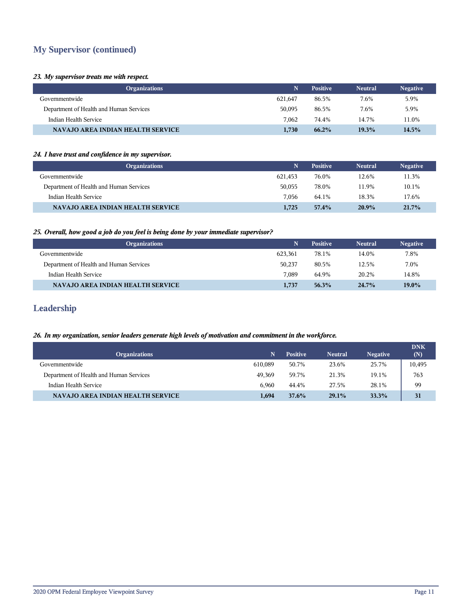# **My Supervisor (continued)**

#### *23. My supervisor treats me with respect.*

| <b>Organizations</b>                    |         | <b>Positive</b> | <b>Neutral</b> | <b>Negative</b> |
|-----------------------------------------|---------|-----------------|----------------|-----------------|
| Governmentwide                          | 621.647 | 86.5%           | 7.6%           | 5.9%            |
| Department of Health and Human Services | 50,095  | 86.5%           | 7.6%           | 5.9%            |
| Indian Health Service                   | 7.062   | 74.4%           | 14.7%          | 11.0%           |
| NAVAJO AREA INDIAN HEALTH SERVICE       | 1,730   | 66.2%           | 19.3%          | $14.5\%$        |

#### *24. I have trust and confidence in my supervisor.*

| <b>Organizations</b>                     |         | <b>Positive</b> | <b>Neutral</b> | <b>Negative</b> |
|------------------------------------------|---------|-----------------|----------------|-----------------|
| Governmentwide                           | 621.453 | 76.0%           | 12.6%          | 11.3%           |
| Department of Health and Human Services  | 50,055  | 78.0%           | 11.9%          | 10.1%           |
| Indian Health Service                    | 7.056   | 64.1%           | 18.3%          | 17.6%           |
| <b>NAVAJO AREA INDIAN HEALTH SERVICE</b> | 1,725   | 57.4%           | 20.9%          | 21.7%           |

## *25. Overall, how good a job do you feel is being done by your immediate supervisor?*

| <b>Organizations</b>                     |         | <b>Positive</b> | <b>Neutral</b> | <b>Negative</b> |
|------------------------------------------|---------|-----------------|----------------|-----------------|
| Governmentwide                           | 623.361 | 78.1%           | 14.0%          | 7.8%            |
| Department of Health and Human Services  | 50,237  | 80.5%           | 12.5%          | 7.0%            |
| Indian Health Service                    | 7.089   | 64.9%           | 20.2%          | 14.8%           |
| <b>NAVAJO AREA INDIAN HEALTH SERVICE</b> | 1,737   | 56.3%           | $24.7\%$       | $19.0\%$        |

## **Leadership**

## *26. In my organization, senior leaders generate high levels of motivation and commitment in the workforce.*

| <b>Organizations</b>                     | N       | <b>Positive</b> | <b>Neutral</b> | <b>Negative</b> | <b>DNK</b><br>(N) |
|------------------------------------------|---------|-----------------|----------------|-----------------|-------------------|
| Governmentwide                           | 610.089 | 50.7%           | 23.6%          | 25.7%           | 10,495            |
| Department of Health and Human Services  | 49.369  | 59.7%           | 21.3%          | 19.1%           | 763               |
| Indian Health Service                    | 6.960   | 44.4%           | 27.5%          | 28.1%           | 99                |
| <b>NAVAJO AREA INDIAN HEALTH SERVICE</b> | 1.694   | 37.6%           | $29.1\%$       | 33.3%           | 31                |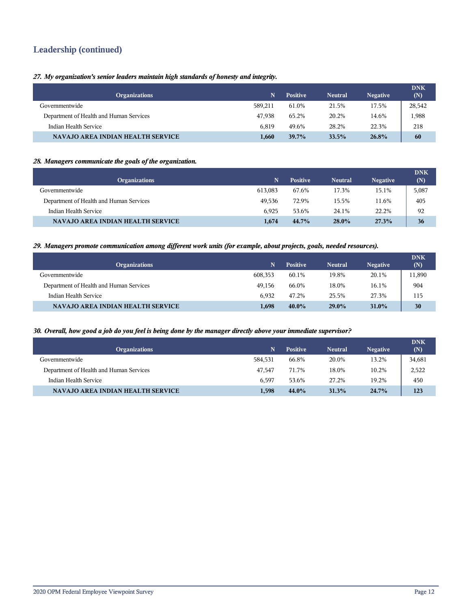# **Leadership (continued)**

## *27. My organization's senior leaders maintain high standards of honesty and integrity.*

| <b>Organizations</b>                     | N       | <b>Positive</b> | <b>Neutral</b> | <b>Negative</b> | <b>DNK</b><br>(N) |
|------------------------------------------|---------|-----------------|----------------|-----------------|-------------------|
| Governmentwide                           | 589.211 | 61.0%           | 21.5%          | 17.5%           | 28,542            |
| Department of Health and Human Services  | 47.938  | 65.2%           | 20.2%          | 14.6%           | 1,988             |
| Indian Health Service                    | 6.819   | 49.6%           | 28.2%          | 22.3%           | 218               |
| <b>NAVAJO AREA INDIAN HEALTH SERVICE</b> | 1,660   | 39.7%           | 33.5%          | 26.8%           | 60                |

#### *28. Managers communicate the goals of the organization.*

| <b>Organizations</b>                     | N       | <b>Positive</b> | <b>Neutral</b> | <b>Negative</b> | <b>DNK</b><br>(N) |
|------------------------------------------|---------|-----------------|----------------|-----------------|-------------------|
| Governmentwide                           | 613,083 | 67.6%           | 17.3%          | 15.1%           | 5,087             |
| Department of Health and Human Services  | 49.536  | 72.9%           | 15.5%          | 11.6%           | 405               |
| Indian Health Service                    | 6.925   | 53.6%           | 24.1%          | 22.2%           | 92                |
| <b>NAVAJO AREA INDIAN HEALTH SERVICE</b> | 1,674   | 44.7%           | 28.0%          | 27.3%           | 36                |

#### *29. Managers promote communication among different work units (for example, about projects, goals, needed resources).*

| <b>Organizations</b>                     | N       | <b>Positive</b> | <b>Neutral</b> | <b>Negative</b> | <b>DNK</b><br>(N) |
|------------------------------------------|---------|-----------------|----------------|-----------------|-------------------|
| Governmentwide                           | 608,353 | 60.1%           | 19.8%          | 20.1%           | 11,890            |
| Department of Health and Human Services  | 49.156  | 66.0%           | 18.0%          | 16.1%           | 904               |
| Indian Health Service                    | 6.932   | 47.2%           | 25.5%          | 27.3%           | 115               |
| <b>NAVAJO AREA INDIAN HEALTH SERVICE</b> | 1.698   | $40.0\%$        | $29.0\%$       | 31.0%           | 30                |

#### *30. Overall, how good a job do you feel is being done by the manager directly above your immediate supervisor?*

| <b>Organizations</b>                     | N       | <b>Positive</b> | <b>Neutral</b> | <b>Negative</b> | <b>DNK</b><br>(N) |
|------------------------------------------|---------|-----------------|----------------|-----------------|-------------------|
| Governmentwide                           | 584.531 | 66.8%           | 20.0%          | 13.2%           | 34,681            |
| Department of Health and Human Services  | 47.547  | 71.7%           | 18.0%          | 10.2%           | 2,522             |
| Indian Health Service                    | 6.597   | 53.6%           | 27.2%          | 19.2%           | 450               |
| <b>NAVAJO AREA INDIAN HEALTH SERVICE</b> | 1,598   | 44.0%           | 31.3%          | 24.7%           | 123               |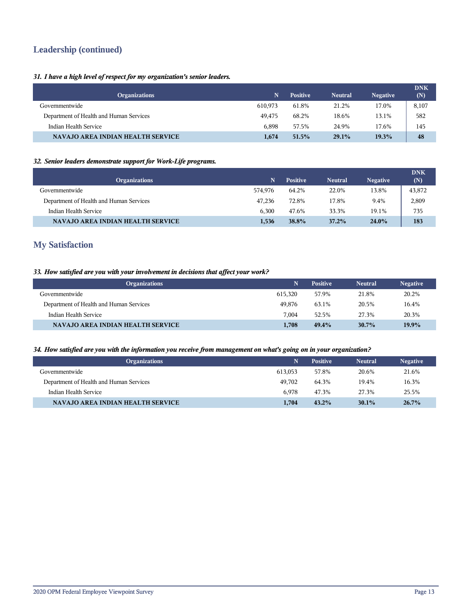# **Leadership (continued)**

## *31. I have a high level of respect for my organization's senior leaders.*

| <b>Organizations</b>                     |         | <b>Positive</b> | <b>Neutral</b> | <b>Negative</b> | <b>DNK</b><br>(N) |
|------------------------------------------|---------|-----------------|----------------|-----------------|-------------------|
| Governmentwide                           | 610.973 | 61.8%           | 21.2%          | 17.0%           | 8,107             |
| Department of Health and Human Services  | 49.475  | 68.2%           | 18.6%          | 13.1%           | 582               |
| Indian Health Service                    | 6.898   | 57.5%           | 24.9%          | 17.6%           | 145               |
| <b>NAVAJO AREA INDIAN HEALTH SERVICE</b> | 1.674   | 51.5%           | 29.1%          | 19.3%           | 48                |

## *32. Senior leaders demonstrate support for Work-Life programs.*

| <b>Organizations</b>                     | N       | <b>Positive</b> | <b>Neutral</b> | <b>Negative</b> | <b>DNK</b><br>(N) |
|------------------------------------------|---------|-----------------|----------------|-----------------|-------------------|
| Governmentwide                           | 574.976 | 64.2%           | 22.0%          | 13.8%           | 43,872            |
| Department of Health and Human Services  | 47.236  | 72.8%           | 17.8%          | 9.4%            | 2,809             |
| Indian Health Service                    | 6.300   | 47.6%           | 33.3%          | 19.1%           | 735               |
| <b>NAVAJO AREA INDIAN HEALTH SERVICE</b> | 1,536   | 38.8%           | 37.2%          | 24.0%           | 183               |

## **My Satisfaction**

## *33. How satisfied are you with your involvement in decisions that affect your work?*

| <b>Organizations</b>                    | N       | <b>Positive</b> | <b>Neutral</b> | <b>Negative</b> |
|-----------------------------------------|---------|-----------------|----------------|-----------------|
| Governmentwide                          | 615.320 | 57.9%           | 21.8%          | 20.2%           |
| Department of Health and Human Services | 49.876  | 63.1%           | 20.5%          | 16.4%           |
| Indian Health Service                   | 7.004   | 52.5%           | 27.3%          | 20.3%           |
| NAVAJO AREA INDIAN HEALTH SERVICE       | 1,708   | $49.4\%$        | $30.7\%$       | 19.9%           |

## *34. How satisfied are you with the information you receive from management on what's going on in your organization?*

| <b>Organizations</b>                    |         | <b>Positive</b> | <b>Neutral</b> | <b>Negative</b> |
|-----------------------------------------|---------|-----------------|----------------|-----------------|
| Governmentwide                          | 613.053 | 57.8%           | 20.6%          | 21.6%           |
| Department of Health and Human Services | 49.702  | 64.3%           | 19.4%          | 16.3%           |
| Indian Health Service                   | 6.978   | 47.3%           | 27.3%          | 25.5%           |
| NAVAJO AREA INDIAN HEALTH SERVICE       | 1,704   | $43.2\%$        | $30.1\%$       | 26.7%           |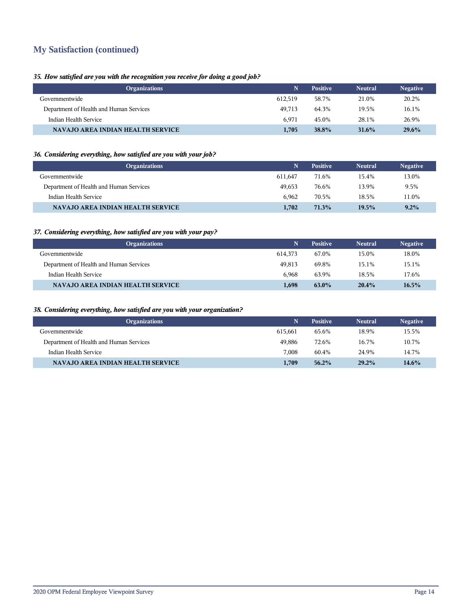# **My Satisfaction (continued)**

## *35. How satisfied are you with the recognition you receive for doing a good job?*

| <b>Organizations</b>                     | N       | <b>Positive</b> | <b>Neutral</b> | <b>Negative</b> |
|------------------------------------------|---------|-----------------|----------------|-----------------|
| Governmentwide                           | 612.519 | 58.7%           | 21.0%          | 20.2%           |
| Department of Health and Human Services  | 49.713  | 64.3%           | 19.5%          | 16.1%           |
| Indian Health Service                    | 6.971   | 45.0%           | 28.1%          | 26.9%           |
| <b>NAVAJO AREA INDIAN HEALTH SERVICE</b> | 1.705   | <b>38.8%</b>    | 31.6%          | $29.6\%$        |

## *36. Considering everything, how satisfied are you with your job?*

| <b>Organizations</b>                    |         | <b>Positive</b> | <b>Neutral</b> | <b>Negative</b> |
|-----------------------------------------|---------|-----------------|----------------|-----------------|
| Governmentwide                          | 611.647 | 71.6%           | 15.4%          | 13.0%           |
| Department of Health and Human Services | 49.653  | 76.6%           | 13.9%          | 9.5%            |
| Indian Health Service                   | 6.962   | 70.5%           | 18.5%          | 11.0%           |
| NAVAJO AREA INDIAN HEALTH SERVICE       | 1.702   | 71.3%           | 19.5%          | $9.2\%$         |

## *37. Considering everything, how satisfied are you with your pay?*

| <b>Organizations</b>                     |         | <b>Positive</b> | <b>Neutral</b> | <b>Negative</b> |
|------------------------------------------|---------|-----------------|----------------|-----------------|
| Governmentwide                           | 614.373 | 67.0%           | 15.0%          | 18.0%           |
| Department of Health and Human Services  | 49.813  | 69.8%           | 15.1%          | 15.1%           |
| Indian Health Service                    | 6.968   | 63.9%           | 18.5%          | 17.6%           |
| <b>NAVAJO AREA INDIAN HEALTH SERVICE</b> | 1,698   | 63.0%           | 20.4%          | $16.5\%$        |

## *38. Considering everything, how satisfied are you with your organization?*

| <b>Organizations</b>                    |         | <b>Positive</b> | <b>Neutral</b> | <b>Negative</b> |
|-----------------------------------------|---------|-----------------|----------------|-----------------|
| Governmentwide                          | 615.661 | 65.6%           | 18.9%          | 15.5%           |
| Department of Health and Human Services | 49.886  | 72.6%           | 16.7%          | 10.7%           |
| Indian Health Service                   | 7.008   | 60.4%           | 24.9%          | 14.7%           |
| NAVAJO AREA INDIAN HEALTH SERVICE       | 1.709   | $56.2\%$        | 29.2%          | 14.6%           |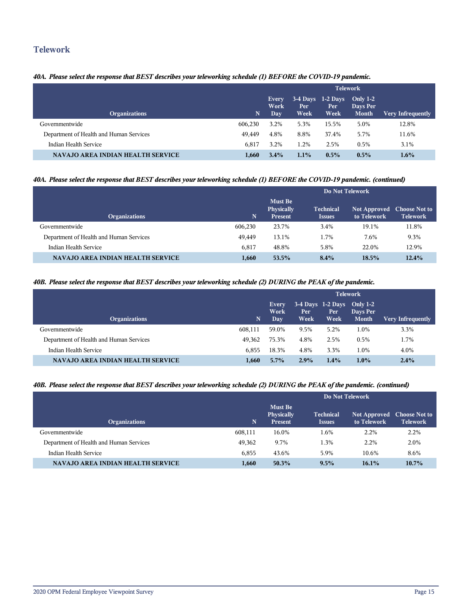## **Telework**

## *40A. Please select the response that BEST describes your teleworking schedule (1) BEFORE the COVID-19 pandemic.*

|                                         |         | <b>Telework</b>              |             |                                    |                                        |                   |  |
|-----------------------------------------|---------|------------------------------|-------------|------------------------------------|----------------------------------------|-------------------|--|
| <b>Organizations</b>                    | N.      | <b>Every</b><br>Work<br>Day. | Per<br>Week | $3-4$ Days 1-2 Days<br>Per<br>Week | Only $1-2$<br>Days Per<br><b>Month</b> | Very Infrequently |  |
| Governmentwide                          | 606,230 | 3.2%                         | 5.3%        | 15.5%                              | 5.0%                                   | 12.8%             |  |
| Department of Health and Human Services | 49.449  | 4.8%                         | 8.8%        | 37.4%                              | 5.7%                                   | 11.6%             |  |
| Indian Health Service                   | 6,817   | 3.2%                         | 1.2%        | 2.5%                               | $0.5\%$                                | 3.1%              |  |
| NAVAJO AREA INDIAN HEALTH SERVICE       | 1.660   | $3.4\%$                      | 1.1%        | $0.5\%$                            | $0.5\%$                                | $1.6\%$           |  |

## *40A. Please select the response that BEST describes your teleworking schedule (1) BEFORE the COVID-19 pandemic. (continued)*

|                                          |         | Do Not Telework                                |                                   |                                           |                 |  |
|------------------------------------------|---------|------------------------------------------------|-----------------------------------|-------------------------------------------|-----------------|--|
| <b>Organizations</b>                     | N.      | <b>Must Be</b><br>Physically<br><b>Present</b> | <b>Technical</b><br><b>Issues</b> | Not Approved Choose Not to<br>to Telework | <b>Telework</b> |  |
| Governmentwide                           | 606,230 | 23.7%                                          | 3.4%                              | 19.1%                                     | 11.8%           |  |
| Department of Health and Human Services  | 49.449  | 13.1%                                          | 1.7%                              | 7.6%                                      | 9.3%            |  |
| Indian Health Service                    | 6.817   | 48.8%                                          | 5.8%                              | 22.0%                                     | 12.9%           |  |
| <b>NAVAJO AREA INDIAN HEALTH SERVICE</b> | 1.660   | 53.5%                                          | $8.4\%$                           | 18.5%                                     | 12.4%           |  |

### *40B. Please select the response that BEST describes your teleworking schedule (2) DURING the PEAK of the pandemic.*

|                                         |         | <b>Telework</b>       |              |                                                 |                          |                          |
|-----------------------------------------|---------|-----------------------|--------------|-------------------------------------------------|--------------------------|--------------------------|
| <b>Organizations</b>                    | N       | Every<br>Work<br>Day. | Per.<br>Week | $3-4$ Days $1-2$ Days Only $1-2$<br>Per<br>Week | Days Per<br><b>Month</b> | <b>Very Infrequently</b> |
| Governmentwide                          | 608.111 | 59.0%                 | 9.5%         | 5.2%                                            | 1.0%                     | 3.3%                     |
| Department of Health and Human Services | 49.362  | 75.3%                 | 4.8%         | 2.5%                                            | 0.5%                     | 1.7%                     |
| Indian Health Service                   | 6.855   | 18.3%                 | 4.8%         | 3.3%                                            | 1.0%                     | 4.0%                     |
| NAVAJO AREA INDIAN HEALTH SERVICE       | 1,660   | $5.7\%$               | 2.9%         | 1.4%                                            | $1.0\%$                  | $2.4\%$                  |

## *40B. Please select the response that BEST describes your teleworking schedule (2) DURING the PEAK of the pandemic. (continued)*

|                                          |         | Do Not Telework                         |                                   |                                           |                 |  |  |
|------------------------------------------|---------|-----------------------------------------|-----------------------------------|-------------------------------------------|-----------------|--|--|
| <b>Organizations</b>                     | N       | <b>Must Be</b><br>Physically<br>Present | <b>Technical</b><br><b>Issues</b> | Not Approved Choose Not to<br>to Telework | <b>Telework</b> |  |  |
| Governmentwide                           | 608,111 | 16.0%                                   | 1.6%                              | 2.2%                                      | 2.2%            |  |  |
| Department of Health and Human Services  | 49.362  | 9.7%                                    | 1.3%                              | 2.2%                                      | 2.0%            |  |  |
| Indian Health Service                    | 6.855   | 43.6%                                   | 5.9%                              | 10.6%                                     | 8.6%            |  |  |
| <b>NAVAJO AREA INDIAN HEALTH SERVICE</b> | 1,660   | $50.3\%$                                | 9.5%                              | $16.1\%$                                  | $10.7\%$        |  |  |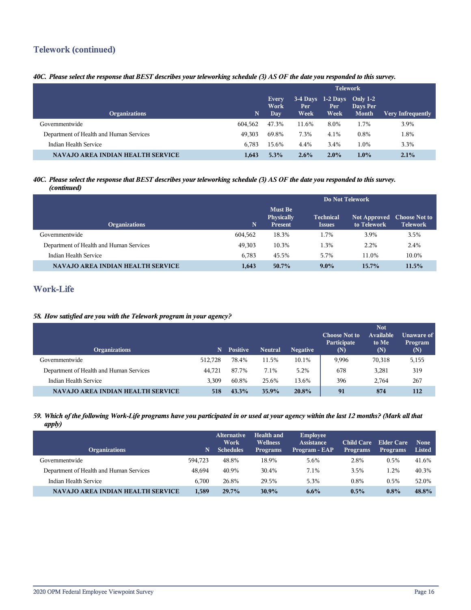# **Telework (continued)**

## *40C. Please select the response that BEST describes your teleworking schedule (3) AS OF the date you responded to this survey.*

|                                          |         | <b>Telework</b>                    |              |                                                 |                   |                          |
|------------------------------------------|---------|------------------------------------|--------------|-------------------------------------------------|-------------------|--------------------------|
| <b>Organizations</b>                     | N       | <b>Every</b><br>Work<br><b>Day</b> | Per:<br>Week | $3-4$ Days $1-2$ Days Only $1-2$<br>Per<br>Week | Days Per<br>Month | <b>Very Infrequently</b> |
| Governmentwide                           | 604.562 | 47.3%                              | 11.6%        | 8.0%                                            | 1.7%              | 3.9%                     |
| Department of Health and Human Services  | 49.303  | 69.8%                              | 7.3%         | 4.1%                                            | $0.8\%$           | 1.8%                     |
| Indian Health Service                    | 6.783   | 15.6%                              | 4.4%         | 3.4%                                            | 1.0%              | 3.3%                     |
| <b>NAVAJO AREA INDIAN HEALTH SERVICE</b> | 1,643   | 5.3%                               | 2.6%         | 2.0%                                            | $1.0\%$           | 2.1%                     |

#### *40C. Please select the response that BEST describes your teleworking schedule (3) AS OF the date you responded to this survey. (continued)*

|                                          |         | Do Not Telework                                       |                                   |                                           |                 |  |  |
|------------------------------------------|---------|-------------------------------------------------------|-----------------------------------|-------------------------------------------|-----------------|--|--|
| <b>Organizations</b>                     | N       | <b>Must Be</b><br><b>Physically</b><br><b>Present</b> | <b>Technical</b><br><b>Issues</b> | Not Approved Choose Not to<br>to Telework | <b>Telework</b> |  |  |
| Governmentwide                           | 604,562 | 18.3%                                                 | 1.7%                              | 3.9%                                      | 3.5%            |  |  |
| Department of Health and Human Services  | 49.303  | 10.3%                                                 | 1.3%                              | 2.2%                                      | 2.4%            |  |  |
| Indian Health Service                    | 6,783   | 45.5%                                                 | 5.7%                              | 11.0%                                     | 10.0%           |  |  |
| <b>NAVAJO AREA INDIAN HEALTH SERVICE</b> | 1,643   | $50.7\%$                                              | $9.0\%$                           | $15.7\%$                                  | 11.5%           |  |  |

# **Work-Life**

## *58. How satisfied are you with the Telework program in your agency?*

| <b>Organizations</b>                     | 'N.     | <b>Positive</b> | <b>Neutral</b> | <b>Negative</b> | <b>Choose Not to</b><br>Participate<br>(N) | <b>Not</b><br>Available<br>to Me<br>(N) | Unaware of<br>Program<br>(N) |
|------------------------------------------|---------|-----------------|----------------|-----------------|--------------------------------------------|-----------------------------------------|------------------------------|
| Governmentwide                           | 512.728 | 78.4%           | 11.5%          | 10.1%           | 9,996                                      | 70,318                                  | 5,155                        |
| Department of Health and Human Services  | 44.721  | 87.7%           | 7.1%           | 5.2%            | 678                                        | 3,281                                   | 319                          |
| Indian Health Service                    | 3.309   | 60.8%           | 25.6%          | 13.6%           | 396                                        | 2.764                                   | 267                          |
| <b>NAVAJO AREA INDIAN HEALTH SERVICE</b> | 518     | 43.3%           | 35.9%          | 20.8%           | 91                                         | 874                                     | 112                          |

#### *59. Which of the following Work-Life programs have you participated in or used at your agency within the last 12 months? (Mark all that apply)*

| <b>Organizations</b>                    | N       | <b>Alternative</b><br>Work<br><b>Schedules</b> | Health and<br><b>Wellness</b><br><b>Programs</b> | <b>Employee</b><br><b>Assistance</b><br>Program - EAP | <b>Child Care</b><br><b>Programs</b> | Elder Care<br><b>Programs</b> | <b>None</b><br>Listed |
|-----------------------------------------|---------|------------------------------------------------|--------------------------------------------------|-------------------------------------------------------|--------------------------------------|-------------------------------|-----------------------|
| Governmentwide                          | 594.723 | 48.8%                                          | 18.9%                                            | 5.6%                                                  | 2.8%                                 | 0.5%                          | 41.6%                 |
| Department of Health and Human Services | 48.694  | 40.9%                                          | 30.4%                                            | 7.1%                                                  | 3.5%                                 | $1.2\%$                       | 40.3%                 |
| Indian Health Service                   | 6.700   | 26.8%                                          | 29.5%                                            | 5.3%                                                  | 0.8%                                 | 0.5%                          | 52.0%                 |
| NAVAJO AREA INDIAN HEALTH SERVICE       | 1,589   | 29.7%                                          | $30.9\%$                                         | $6.6\%$                                               | $0.5\%$                              | $0.8\%$                       | 48.8%                 |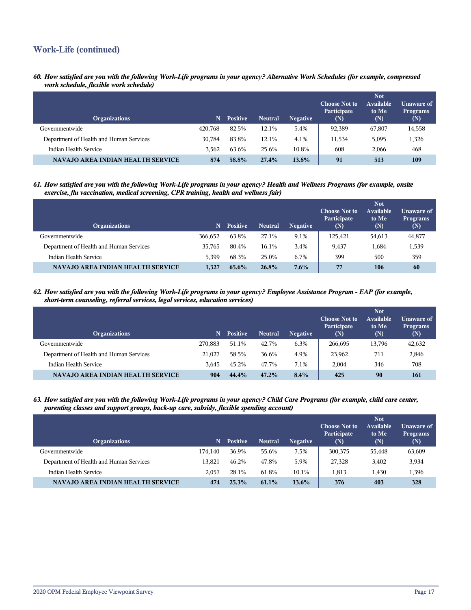# **Work-Life (continued)**

*60. How satisfied are you with the following Work-Life programs in your agency? Alternative Work Schedules (for example, compressed work schedule, flexible work schedule)*

| <b>Organizations</b>                     | N       | <b>Positive</b> | <b>Neutral</b> | <b>Negative</b> | <b>Choose Not to</b><br>Participate<br>(N) | <b>Not</b><br><b>Available</b><br>to Me<br>(N) | Unaware of<br><b>Programs</b><br>(N) |
|------------------------------------------|---------|-----------------|----------------|-----------------|--------------------------------------------|------------------------------------------------|--------------------------------------|
| Governmentwide                           | 420,768 | 82.5%           | 12.1%          | 5.4%            | 92,389                                     | 67,807                                         | 14,558                               |
| Department of Health and Human Services  | 30.784  | 83.8%           | 12.1%          | 4.1%            | 11,534                                     | 5.095                                          | 1,326                                |
| Indian Health Service                    | 3.562   | 63.6%           | 25.6%          | 10.8%           | 608                                        | 2.066                                          | 468                                  |
| <b>NAVAJO AREA INDIAN HEALTH SERVICE</b> | 874     | 58.8%           | 27.4%          | $13.8\%$        | 91                                         | 513                                            | 109                                  |

*61. How satisfied are you with the following Work-Life programs in your agency? Health and Wellness Programs (for example, onsite exercise, flu vaccination, medical screening, CPR training, health and wellness fair)*

| <b>Organizations</b>                     | N       | <b>Positive</b> | <b>Neutral</b> | <b>Negative</b> | <b>Choose Not to</b><br><b>Participate</b><br>(N) | <b>Not</b><br>Available<br>to Me<br>(N) | <b>Unaware of</b><br><b>Programs</b><br>$(\mathbb{N})$ |
|------------------------------------------|---------|-----------------|----------------|-----------------|---------------------------------------------------|-----------------------------------------|--------------------------------------------------------|
| Governmentwide                           | 366,652 | 63.8%           | 27.1%          | 9.1%            | 125.421                                           | 54,613                                  | 44,877                                                 |
| Department of Health and Human Services  | 35,765  | 80.4%           | 16.1%          | 3.4%            | 9,437                                             | 1,684                                   | 1,539                                                  |
| Indian Health Service                    | 5.399   | 68.3%           | 25.0%          | 6.7%            | 399                                               | 500                                     | 359                                                    |
| <b>NAVAJO AREA INDIAN HEALTH SERVICE</b> | 1.327   | $65.6\%$        | 26.8%          | $7.6\%$         | 77                                                | 106                                     | 60                                                     |

*62. How satisfied are you with the following Work-Life programs in your agency? Employee Assistance Program - EAP (for example, short-term counseling, referral services, legal services, education services)*

| <b>Organizations</b>                    | N       | <b>Positive</b> | <b>Neutral</b> | <b>Negative</b> | <b>Choose Not to</b><br><b>Participate</b><br>(N) | <b>Not</b><br><b>Available</b><br>to Me<br>(N) | Unaware of<br><b>Programs</b><br>(N) |
|-----------------------------------------|---------|-----------------|----------------|-----------------|---------------------------------------------------|------------------------------------------------|--------------------------------------|
| Governmentwide                          | 270.883 | 51.1%           | 42.7%          | 6.3%            | 266,695                                           | 13,796                                         | 42,632                               |
| Department of Health and Human Services | 21,027  | 58.5%           | 36.6%          | 4.9%            | 23,962                                            | 711                                            | 2,846                                |
| Indian Health Service                   | 3.645   | 45.2%           | 47.7%          | 7.1%            | 2.004                                             | 346                                            | 708                                  |
| NAVAJO AREA INDIAN HEALTH SERVICE       | 904     | 44.4%           | 47.2%          | 8.4%            | 425                                               | 90                                             | 161                                  |

*63. How satisfied are you with the following Work-Life programs in your agency? Child Care Programs (for example, child care center, parenting classes and support groups, back-up care, subsidy, flexible spending account)*

| <b>Organizations</b>                     | N       | <b>Positive</b> | <b>Neutral</b> | <b>Negative</b> | <b>Choose Not to</b><br>Participate<br>(N) | <b>Not</b><br>Available<br>to Me<br>(N) | Unaware of<br><b>Programs</b><br>(N) |
|------------------------------------------|---------|-----------------|----------------|-----------------|--------------------------------------------|-----------------------------------------|--------------------------------------|
| Governmentwide                           | 174.140 | 36.9%           | 55.6%          | 7.5%            | 300,375                                    | 55,448                                  | 63,609                               |
| Department of Health and Human Services  | 13.821  | 46.2%           | 47.8%          | 5.9%            | 27,328                                     | 3,402                                   | 3,934                                |
| Indian Health Service                    | 2.057   | 28.1%           | 61.8%          | 10.1%           | 1,813                                      | 1,430                                   | 1,396                                |
| <b>NAVAJO AREA INDIAN HEALTH SERVICE</b> | 474     | 25.3%           | $61.1\%$       | $13.6\%$        | 376                                        | 403                                     | 328                                  |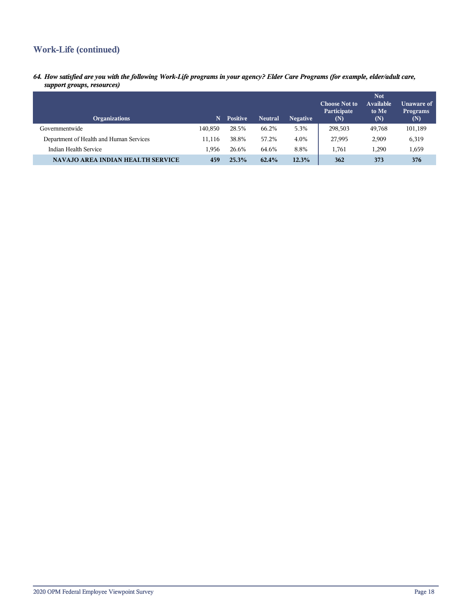# **Work-Life (continued)**

*64. How satisfied are you with the following Work-Life programs in your agency? Elder Care Programs (for example, elder/adult care, support groups, resources)*

| <b>Organizations</b>                     | N.      | <b>Positive</b> | <b>Neutral</b> | <b>Negative</b> | <b>Choose Not to</b><br>Participate<br>(N) | <b>Not</b><br><b>Available</b><br>to Me<br>(N) | Unaware of<br><b>Programs</b><br>(N) |
|------------------------------------------|---------|-----------------|----------------|-----------------|--------------------------------------------|------------------------------------------------|--------------------------------------|
| Governmentwide                           | 140.850 | 28.5%           | 66.2%          | 5.3%            | 298,503                                    | 49,768                                         | 101,189                              |
| Department of Health and Human Services  | 11.116  | 38.8%           | 57.2%          | 4.0%            | 27,995                                     | 2,909                                          | 6,319                                |
| Indian Health Service                    | 1.956   | 26.6%           | 64.6%          | 8.8%            | 1.761                                      | 1.290                                          | 1,659                                |
| <b>NAVAJO AREA INDIAN HEALTH SERVICE</b> | 459     | 25.3%           | 62.4%          | 12.3%           | 362                                        | 373                                            | 376                                  |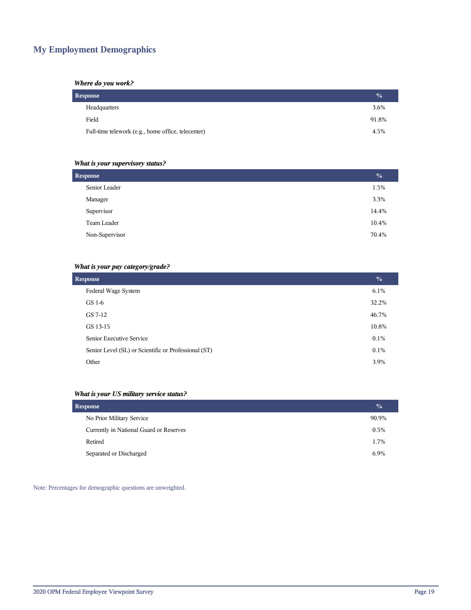# **My Employment Demographics**

## *Where do you work?*

| Response                                           | $\frac{0}{0}$ |
|----------------------------------------------------|---------------|
| Headquarters                                       | 3.6%          |
| Field                                              | 91.8%         |
| Full-time telework (e.g., home office, telecenter) | 4.5%          |

## *What is your supervisory status?*

| <b>Response</b> | $\frac{0}{0}$ |
|-----------------|---------------|
| Senior Leader   | 1.5%          |
| Manager         | 3.3%          |
| Supervisor      | 14.4%         |
| Team Leader     | 10.4%         |
| Non-Supervisor  | 70.4%         |
|                 |               |

## *What is your pay category/grade?*

| <b>Response</b>                                      | $\frac{0}{0}$ |
|------------------------------------------------------|---------------|
| Federal Wage System                                  | $6.1\%$       |
| GS 1-6                                               | 32.2%         |
| GS 7-12                                              | 46.7%         |
| GS 13-15                                             | 10.8%         |
| Senior Executive Service                             | 0.1%          |
| Senior Level (SL) or Scientific or Professional (ST) | $0.1\%$       |
| Other                                                | 3.9%          |

## *What is your US military service status?*

| <b>Response</b>                         | $\frac{0}{0}$ |
|-----------------------------------------|---------------|
| No Prior Military Service               | 90.9%         |
| Currently in National Guard or Reserves | 0.5%          |
| Retired                                 | 1.7%          |
| Separated or Discharged                 | 6.9%          |

Note: Percentages for demographic questions are unweighted.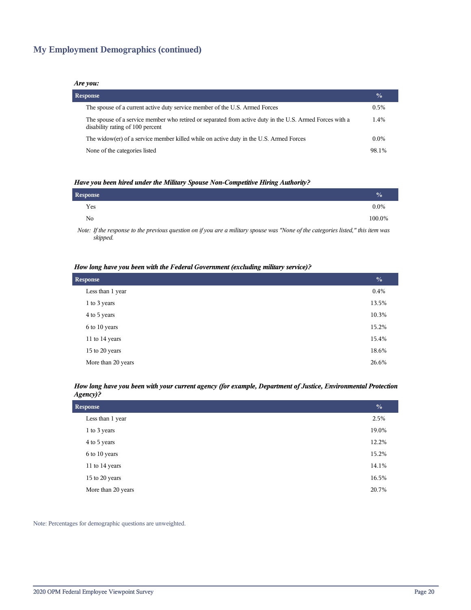# **My Employment Demographics (continued)**

#### *Are you:*

| <b>Response</b> |                                                                                                                                              |         |  |  |  |
|-----------------|----------------------------------------------------------------------------------------------------------------------------------------------|---------|--|--|--|
|                 | The spouse of a current active duty service member of the U.S. Armed Forces                                                                  | $0.5\%$ |  |  |  |
|                 | The spouse of a service member who retired or separated from active duty in the U.S. Armed Forces with a<br>disability rating of 100 percent | 1.4%    |  |  |  |
|                 | The widow(er) of a service member killed while on active duty in the U.S. Armed Forces                                                       | $0.0\%$ |  |  |  |
|                 | None of the categories listed                                                                                                                | 98.1%   |  |  |  |

#### *Have you been hired under the Military Spouse Non-Competitive Hiring Authority?*

| Response |                                                                                                               |  |          |          |  | $\%$    |
|----------|---------------------------------------------------------------------------------------------------------------|--|----------|----------|--|---------|
| Yes      |                                                                                                               |  |          |          |  | $0.0\%$ |
| No       |                                                                                                               |  |          |          |  | 100.0%  |
| .        | restricted to the contract of the contract of the contract of the contract of the contract of the contract of |  | $\cdots$ | $\cdots$ |  |         |

*Note: If the response to the previous question on if you are a military spouse was "None of the categories listed," this item was skipped.*

#### *How long have you been with the Federal Government (excluding military service)?*

| <b>Response</b>    |       |  |  |
|--------------------|-------|--|--|
| Less than 1 year   | 0.4%  |  |  |
| 1 to 3 years       | 13.5% |  |  |
| 4 to 5 years       | 10.3% |  |  |
| 6 to 10 years      | 15.2% |  |  |
| 11 to 14 years     | 15.4% |  |  |
| 15 to 20 years     | 18.6% |  |  |
| More than 20 years | 26.6% |  |  |

#### *How long have you been with your current agency (for example, Department of Justice, Environmental Protection Agency)?*

| <b>Response</b>    |       |  |
|--------------------|-------|--|
| Less than 1 year   | 2.5%  |  |
| 1 to 3 years       | 19.0% |  |
| 4 to 5 years       | 12.2% |  |
| 6 to 10 years      | 15.2% |  |
| 11 to 14 years     | 14.1% |  |
| 15 to 20 years     | 16.5% |  |
| More than 20 years | 20.7% |  |

Note: Percentages for demographic questions are unweighted.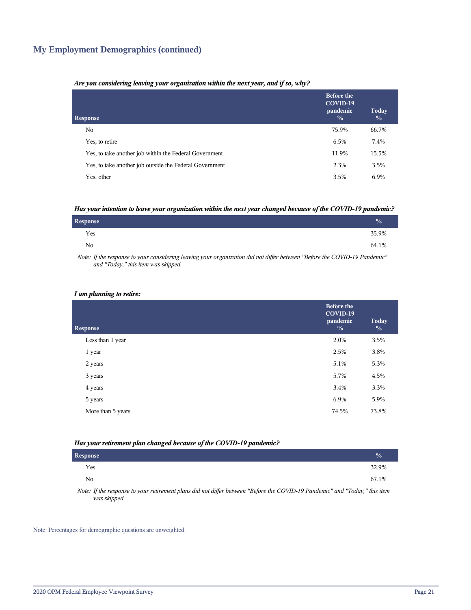## **My Employment Demographics (continued)**

#### *Are you considering leaving your organization within the next year, and if so, why?*

| <b>Response</b>                                         | <b>Before the</b><br>COVID-19<br>pandemic<br>$\frac{0}{0}$ | Today<br>$\frac{0}{0}$ |
|---------------------------------------------------------|------------------------------------------------------------|------------------------|
| No.                                                     | 75.9%                                                      | 66.7%                  |
| Yes, to retire                                          | 6.5%                                                       | 7.4%                   |
| Yes, to take another job within the Federal Government  | 11.9%                                                      | 15.5%                  |
| Yes, to take another job outside the Federal Government | 2.3%                                                       | 3.5%                   |
| Yes, other                                              | 3.5%                                                       | 6.9%                   |

#### *Has your intention to leave your organization within the next year changed because of the COVID-19 pandemic?*

| <b>Response</b> | $\frac{0}{0}$ |
|-----------------|---------------|
| Yes             | 35.9%         |
| No.             | 64.1%         |

*Note: If the response to your considering leaving your organization did not differ between "Before the COVID-19 Pandemic" and "Today," this item was skipped.*

#### *I am planning to retire:*

| <b>Response</b>   | <b>Before the</b><br>COVID-19<br>pandemic<br>$\frac{0}{0}$ | Today<br>$\frac{0}{0}$ |
|-------------------|------------------------------------------------------------|------------------------|
| Less than 1 year  | 2.0%                                                       | 3.5%                   |
| 1 year            | 2.5%                                                       | 3.8%                   |
| 2 years           | 5.1%                                                       | 5.3%                   |
| 3 years           | 5.7%                                                       | 4.5%                   |
| 4 years           | 3.4%                                                       | 3.3%                   |
| 5 years           | 6.9%                                                       | 5.9%                   |
| More than 5 years | 74.5%                                                      | 73.8%                  |
|                   |                                                            |                        |

#### *Has your retirement plan changed because of the COVID-19 pandemic?*

| <b>Response</b> |  |  |  |  |                                                                                                                                                                                                                                                                                                                   |  | $\sqrt{a}$ |  |
|-----------------|--|--|--|--|-------------------------------------------------------------------------------------------------------------------------------------------------------------------------------------------------------------------------------------------------------------------------------------------------------------------|--|------------|--|
| Yes             |  |  |  |  |                                                                                                                                                                                                                                                                                                                   |  | 32.9%      |  |
| No              |  |  |  |  |                                                                                                                                                                                                                                                                                                                   |  | 67.1%      |  |
| $\mathbf{v}$    |  |  |  |  | $\mathcal{L}$ and $\mathcal{L}$ and $\mathcal{L}$ and $\mathcal{L}$ are $\mathcal{L}$ and $\mathcal{L}$ and $\mathcal{L}$ and $\mathcal{L}$ and $\mathcal{L}$ and $\mathcal{L}$ and $\mathcal{L}$ and $\mathcal{L}$ and $\mathcal{L}$ and $\mathcal{L}$ and $\mathcal{L}$ and $\mathcal{L}$ and $\mathcal{L}$ and |  |            |  |

*Note: If the response to your retirement plans did not differ between "Before the COVID-19 Pandemic" and "Today," this item was skipped.*

Note: Percentages for demographic questions are unweighted.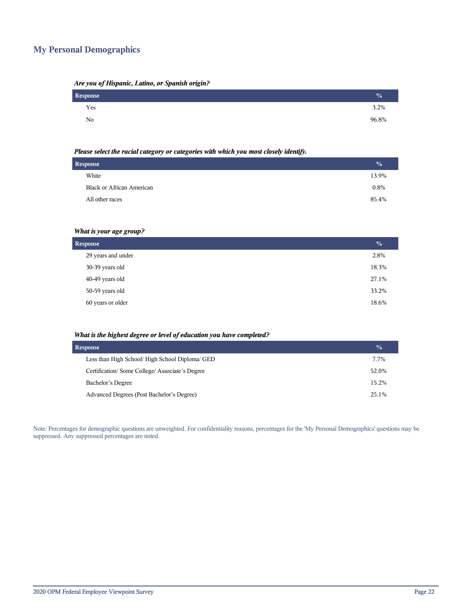# **My Personal Demographics**

| Are you of Hispanic, Latino, or Spanish origin? |  |  |  |
|-------------------------------------------------|--|--|--|
|                                                 |  |  |  |

| Response | $\frac{1}{2}$ |
|----------|---------------|
| Yes      | $3.2\%$       |
| No       | 96.8%         |

#### *Please select the racial category or categories with which you most closely identify.*

| <b>Response</b> |                                  |       |
|-----------------|----------------------------------|-------|
|                 | White                            | 13.9% |
|                 | <b>Black or African American</b> | 0.8%  |
|                 | All other races                  | 85.4% |
|                 |                                  |       |

## *What is your age group?*

| <b>Response</b>    |       |  |  |  |
|--------------------|-------|--|--|--|
| 29 years and under | 2.8%  |  |  |  |
| 30-39 years old    | 18.3% |  |  |  |
| 40-49 years old    | 27.1% |  |  |  |
| 50-59 years old    | 33.2% |  |  |  |
| 60 years or older  | 18.6% |  |  |  |

#### *What is the highest degree or level of education you have completed?*

| <b>Response</b>                                 | $\frac{0}{0}$ |
|-------------------------------------------------|---------------|
| Less than High School/ High School Diploma/ GED | 7.7%          |
| Certification/Some College/Associate's Degree   | 52.0%         |
| Bachelor's Degree                               | 15.2%         |
| Advanced Degrees (Post Bachelor's Degree)       | 25.1%         |

Note: Percentages for demographic questions are unweighted. For confidentiality reasons, percentages for the 'My Personal Demographics' questions may be suppressed. Any suppressed percentages are noted.